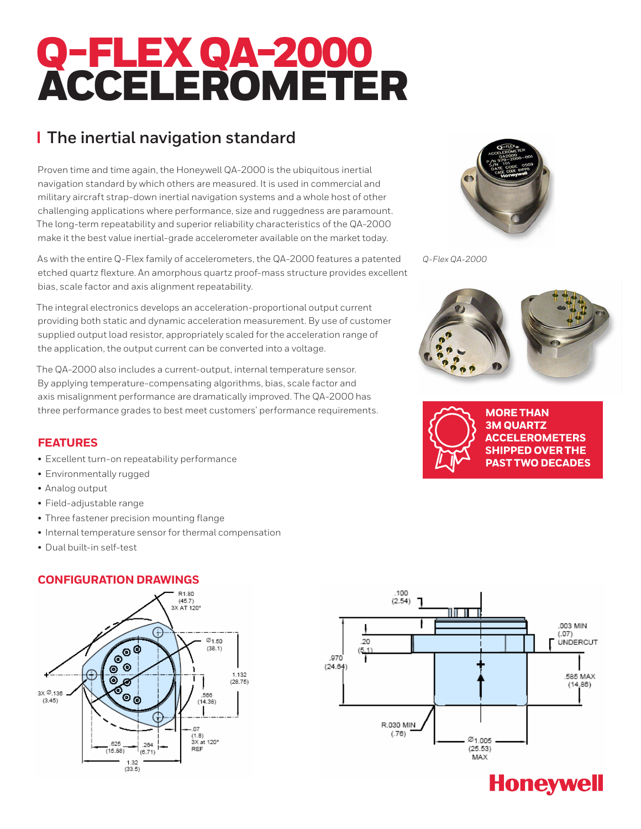# Q-FLEX QA-2000 ACCELEROMETER

# **The inertial navigation standard**

Proven time and time again, the Honeywell QA-2000 is the ubiquitous inertial navigation standard by which others are measured. It is used in commercial and military aircraft strap-down inertial navigation systems and a whole host of other challenging applications where performance, size and ruggedness are paramount. The long-term repeatability and superior reliability characteristics of the QA-2000 make it the best value inertial-grade accelerometer available on the market today.

As with the entire Q-Flex family of accelerometers, the QA-2000 features a patented etched quartz flexture. An amorphous quartz proof-mass structure provides excellent bias, scale factor and axis alignment repeatability.

The integral electronics develops an acceleration-proportional output current providing both static and dynamic acceleration measurement. By use of customer supplied output load resistor, appropriately scaled for the acceleration range of the application, the output current can be converted into a voltage.

The QA-2000 also includes a current-output, internal temperature sensor. By applying temperature-compensating algorithms, bias, scale factor and axis misalignment performance are dramatically improved. The QA-2000 has three performance grades to best meet customers' performance requirements.

## **FEATURES**

- Excellent turn-on repeatability performance
- Environmentally rugged
- Analog output
- Field-adjustable range
- Three fastener precision mounting flange
- Internal temperature sensor for thermal compensation
- Dual built-in self-test

### **CONFIGURATION DRAWINGS**







*Q-Flex QA-2000*